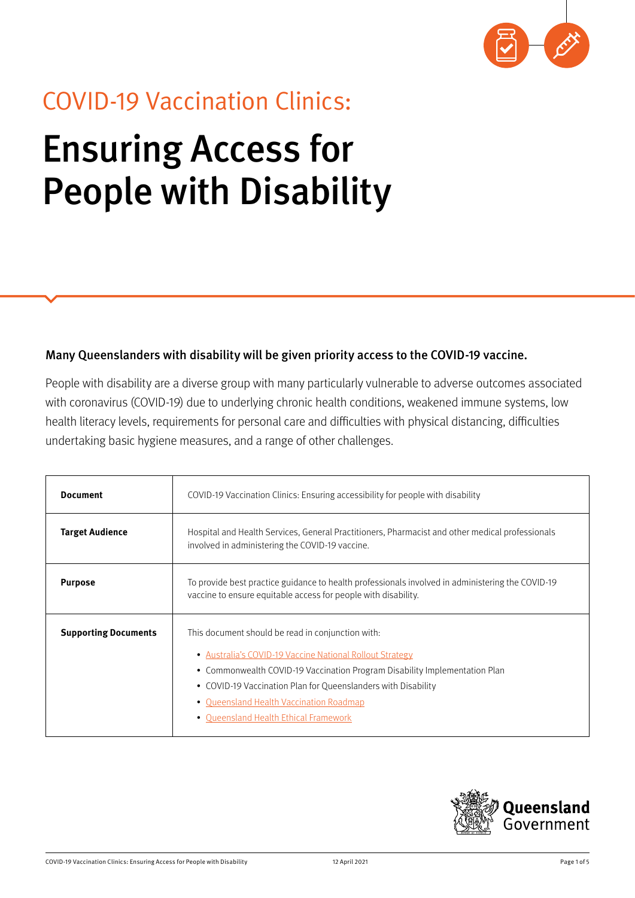

# COVID-19 Vaccination Clinics: Ensuring Access for People with Disability

### Many Queenslanders with disability will be given priority access to the COVID-19 vaccine.

People with disability are a diverse group with many particularly vulnerable to adverse outcomes associated with coronavirus (COVID-19) due to underlying chronic health conditions, weakened immune systems, low health literacy levels, requirements for personal care and difficulties with physical distancing, difficulties undertaking basic hygiene measures, and a range of other challenges.

| <b>Document</b>             | COVID-19 Vaccination Clinics: Ensuring accessibility for people with disability                                                                                                                                                                                                                                                                  |
|-----------------------------|--------------------------------------------------------------------------------------------------------------------------------------------------------------------------------------------------------------------------------------------------------------------------------------------------------------------------------------------------|
| <b>Target Audience</b>      | Hospital and Health Services, General Practitioners, Pharmacist and other medical professionals<br>involved in administering the COVID-19 vaccine.                                                                                                                                                                                               |
| <b>Purpose</b>              | To provide best practice guidance to health professionals involved in administering the COVID-19<br>vaccine to ensure equitable access for people with disability.                                                                                                                                                                               |
| <b>Supporting Documents</b> | This document should be read in conjunction with:<br>• Australia's COVID-19 Vaccine National Rollout Strategy<br>• Commonwealth COVID-19 Vaccination Program Disability Implementation Plan<br>• COVID-19 Vaccination Plan for Queenslanders with Disability<br>• Queensland Health Vaccination Roadmap<br>• Queensland Health Ethical Framework |

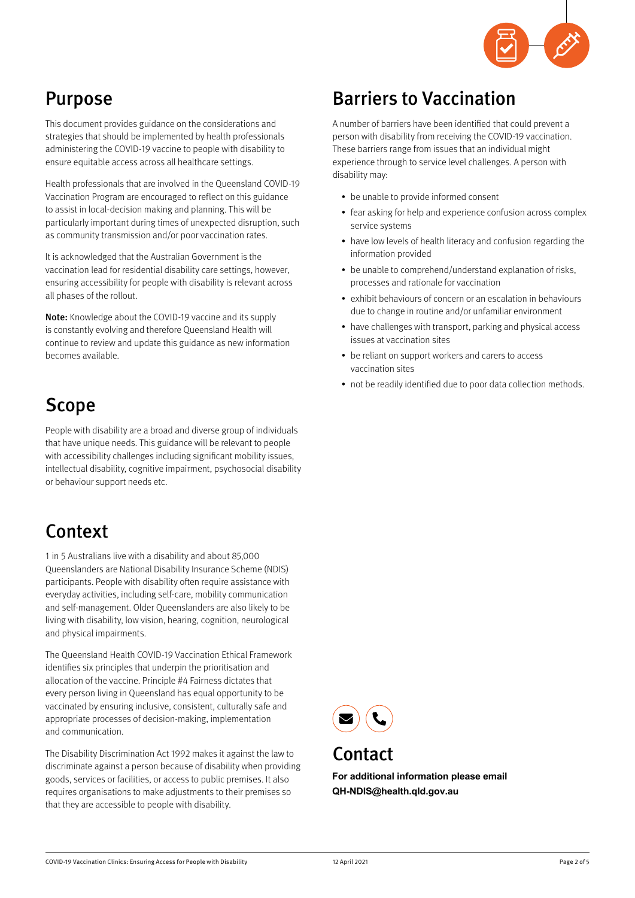

# Purpose

This document provides guidance on the considerations and strategies that should be implemented by health professionals administering the COVID-19 vaccine to people with disability to ensure equitable access across all healthcare settings.

Health professionals that are involved in the Queensland COVID-19 Vaccination Program are encouraged to reflect on this guidance to assist in local-decision making and planning. This will be particularly important during times of unexpected disruption, such as community transmission and/or poor vaccination rates.

It is acknowledged that the Australian Government is the vaccination lead for residential disability care settings, however, ensuring accessibility for people with disability is relevant across all phases of the rollout.

Note: Knowledge about the COVID-19 vaccine and its supply is constantly evolving and therefore Queensland Health will continue to review and update this guidance as new information becomes available.

## Scope

People with disability are a broad and diverse group of individuals that have unique needs. This guidance will be relevant to people with accessibility challenges including significant mobility issues. intellectual disability, cognitive impairment, psychosocial disability or behaviour support needs etc.

# Context

1 in 5 Australians live with a disability and about 85,000 Queenslanders are National Disability Insurance Scheme (NDIS) participants. People with disability often require assistance with everyday activities, including self-care, mobility communication and self-management. Older Queenslanders are also likely to be living with disability, low vision, hearing, cognition, neurological and physical impairments.

The Queensland Health COVID-19 Vaccination Ethical Framework identifies six principles that underpin the prioritisation and allocation of the vaccine. Principle #4 Fairness dictates that every person living in Queensland has equal opportunity to be vaccinated by ensuring inclusive, consistent, culturally safe and appropriate processes of decision-making, implementation and communication.

The Disability Discrimination Act 1992 makes it against the law to discriminate against a person because of disability when providing goods, services or facilities, or access to public premises. It also requires organisations to make adjustments to their premises so that they are accessible to people with disability.

## Barriers to Vaccination

A number of barriers have been identified that could prevent a person with disability from receiving the COVID-19 vaccination. These barriers range from issues that an individual might experience through to service level challenges. A person with disability may:

- be unable to provide informed consent
- fear asking for help and experience confusion across complex service systems
- have low levels of health literacy and confusion regarding the information provided
- be unable to comprehend/understand explanation of risks, processes and rationale for vaccination
- exhibit behaviours of concern or an escalation in behaviours due to change in routine and/or unfamiliar environment
- have challenges with transport, parking and physical access issues at vaccination sites
- be reliant on support workers and carers to access vaccination sites
- not be readily identified due to poor data collection methods.



### **Contact**

**For additional information please email QH-NDIS@health.qld.gov.au**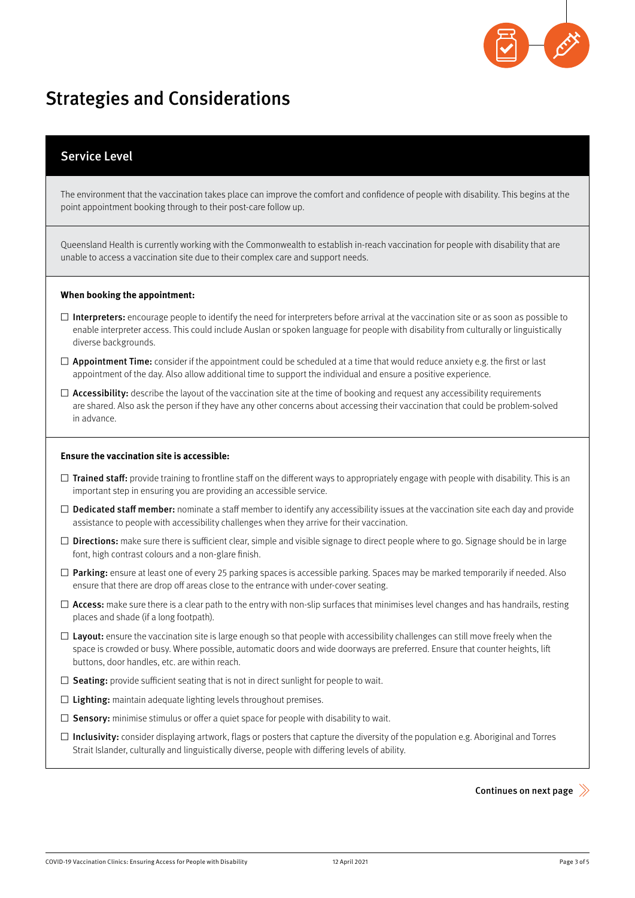

## Strategies and Considerations

### Service Level

The environment that the vaccination takes place can improve the comfort and confidence of people with disability. This begins at the point appointment booking through to their post-care follow up.

Queensland Health is currently working with the Commonwealth to establish in-reach vaccination for people with disability that are unable to access a vaccination site due to their complex care and support needs.

#### **When booking the appointment:**

- $\square$  Interpreters: encourage people to identify the need for interpreters before arrival at the vaccination site or as soon as possible to enable interpreter access. This could include Auslan or spoken language for people with disability from culturally or linguistically diverse backgrounds.
- $\Box$  Appointment Time: consider if the appointment could be scheduled at a time that would reduce anxiety e.g. the first or last appointment of the day. Also allow additional time to support the individual and ensure a positive experience.
- $\Box$  Accessibility: describe the layout of the vaccination site at the time of booking and request any accessibility requirements are shared. Also ask the person if they have any other concerns about accessing their vaccination that could be problem-solved in advance.

#### **Ensure the vaccination site is accessible:**

- □ Trained staff: provide training to frontline staff on the different ways to appropriately engage with people with disability. This is an important step in ensuring you are providing an accessible service.
- $\Box$  Dedicated staff member: nominate a staff member to identify any accessibility issues at the vaccination site each day and provide assistance to people with accessibility challenges when they arrive for their vaccination.
- $\square$  Directions: make sure there is sufficient clear, simple and visible signage to direct people where to go. Signage should be in large font, high contrast colours and a non-glare finish.
- $\square$  Parking: ensure at least one of every 25 parking spaces is accessible parking. Spaces may be marked temporarily if needed. Also ensure that there are drop off areas close to the entrance with under-cover seating.
- $\Box$  Access: make sure there is a clear path to the entry with non-slip surfaces that minimises level changes and has handrails, resting places and shade (if a long footpath).
- $\square$  Layout: ensure the vaccination site is large enough so that people with accessibility challenges can still move freely when the space is crowded or busy. Where possible, automatic doors and wide doorways are preferred. Ensure that counter heights, lift buttons, door handles, etc. are within reach.
- $\Box$  Seating: provide sufficient seating that is not in direct sunlight for people to wait.
- $\square$  Lighting: maintain adequate lighting levels throughout premises.
- $\square$  Sensory: minimise stimulus or offer a quiet space for people with disability to wait.
- $\square$  Inclusivity: consider displaying artwork, flags or posters that capture the diversity of the population e.g. Aboriginal and Torres Strait Islander, culturally and linguistically diverse, people with differing levels of ability.

Continues on next page  $\gg$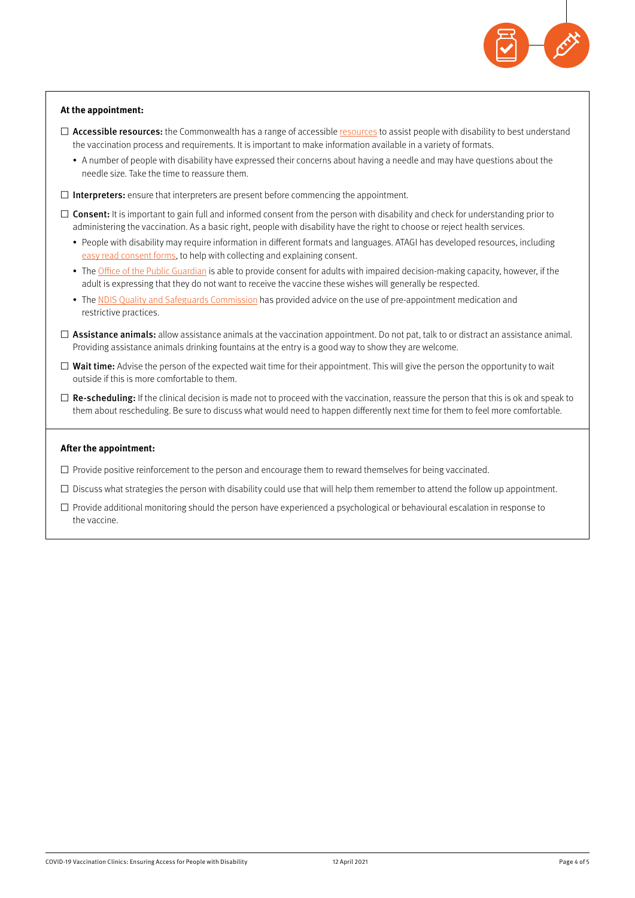

#### **At the appointment:**

- $\Box$  Accessible resources: the Commonwealth has a range of accessible [resources](https://www.health.gov.au/initiatives-and-programs/covid-19-vaccines/getting-vaccinated-for-covid-19/information-for-people-with-disability-about-covid-19-vaccines) to assist people with disability to best understand the vaccination process and requirements. It is important to make information available in a variety of formats.
	- A number of people with disability have expressed their concerns about having a needle and may have questions about the needle size. Take the time to reassure them.
- $\square$  Interpreters: ensure that interpreters are present before commencing the appointment.
- $\Box$  Consent: It is important to gain full and informed consent from the person with disability and check for understanding prior to administering the vaccination. As a basic right, people with disability have the right to choose or reject health services.
	- People with disability may require information in different formats and languages. ATAGI has developed resources, including [easy read consent forms,](https://www.health.gov.au/resources/publications/covid-19-vaccination-giving-your-consent-easy-read) to help with collecting and explaining consent.
	- The [Office of the Public Guardian](https://www.publicguardian.qld.gov.au/about-us/news-and-information/opg-news/consent-process-for-covid-19-vaccination) is able to provide consent for adults with impaired decision-making capacity, however, if the adult is expressing that they do not want to receive the vaccine these wishes will generally be respected.
	- The [NDIS Quality and Safeguards Commission](https://www.ndiscommission.gov.au/document/2756) has provided advice on the use of pre-appointment medication and restrictive practices.
- $\Box$  Assistance animals: allow assistance animals at the vaccination appointment. Do not pat, talk to or distract an assistance animal. Providing assistance animals drinking fountains at the entry is a good way to show they are welcome.
- $\square$  Wait time: Advise the person of the expected wait time for their appointment. This will give the person the opportunity to wait outside if this is more comfortable to them.
- $\square$  Re-scheduling: If the clinical decision is made not to proceed with the vaccination, reassure the person that this is ok and speak to them about rescheduling. Be sure to discuss what would need to happen differently next time for them to feel more comfortable.

#### **After the appointment:**

- $\square$  Provide positive reinforcement to the person and encourage them to reward themselves for being vaccinated.
- $\square$  Discuss what strategies the person with disability could use that will help them remember to attend the follow up appointment.
- $\square$  Provide additional monitoring should the person have experienced a psychological or behavioural escalation in response to the vaccine.